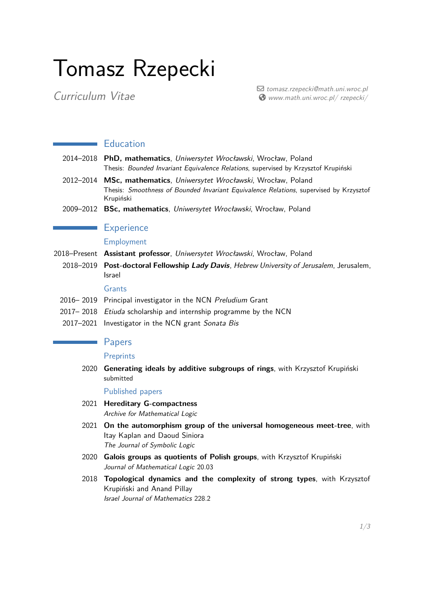# Tomasz Rzepecki

*Curriculum Vitae*

a *tomasz.rzepecki@math.uni.wroc.pl* ˥ *www.math.uni.wroc.pl/ rzepecki/*

## **Education**

- 2014–2018 **PhD, mathematics**, *Uniwersytet Wrocławski*, Wrocław, Poland Thesis: *Bounded Invariant Equivalence Relations*, supervised by Krzysztof Krupiński
- 2012–2014 **MSc, mathematics**, *Uniwersytet Wrocławski*, Wrocław, Poland Thesis: *Smoothness of Bounded Invariant Equivalence Relations*, supervised by Krzysztof Krupiński
- 2009–2012 **BSc, mathematics**, *Uniwersytet Wrocławski*, Wrocław, Poland

## **Experience**

## Employment

- 2018–Present **Assistant professor**, *Uniwersytet Wrocławski*, Wrocław, Poland
	- 2018–2019 **Post-doctoral Fellowship** *Lady Davis*, *Hebrew University of Jerusalem*, Jerusalem, Israel

#### Grants

- 2016– 2019 Principal investigator in the NCN *Preludium* Grant
- 2017– 2018 *Etiuda* scholarship and internship programme by the NCN
- 2017–2021 Investigator in the NCN grant *Sonata Bis*

## **Papers**

#### **Preprints**

2020 **Generating ideals by additive subgroups of rings**, with Krzysztof Krupiński submitted

### Published papers

- 2021 **Hereditary G-compactness** *Archive for Mathematical Logic*
- 2021 **On the automorphism group of the universal homogeneous meet-tree**, with Itay Kaplan and Daoud Siniora *The Journal of Symbolic Logic*
- 2020 **Galois groups as quotients of Polish groups**, with Krzysztof Krupiński *Journal of Mathematical Logic* 20.03
- 2018 **Topological dynamics and the complexity of strong types**, with Krzysztof Krupiński and Anand Pillay *Israel Journal of Mathematics* 228.2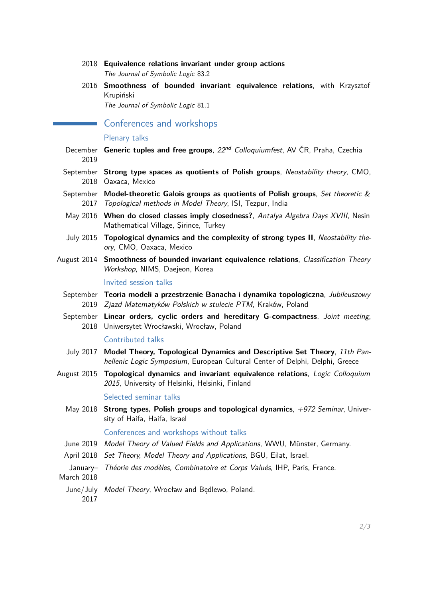#### 2018 **Equivalence relations invariant under group actions** *The Journal of Symbolic Logic* 83.2

2016 **Smoothness of bounded invariant equivalence relations**, with Krzysztof Krupiński

*The Journal of Symbolic Logic* 81.1

Conferences and workshops

#### Plenary talks

- December **Generic tuples and free groups**, *22nd Colloquiumfest*, AV ČR, Praha, Czechia 2019
- September **Strong type spaces as quotients of Polish groups**, *Neostability theory*, CMO, 2018 Oaxaca, Mexico
- September **Model-theoretic Galois groups as quotients of Polish groups**, *Set theoretic &* 2017 *Topological methods in Model Theory*, ISI, Tezpur, India
- May 2016 **When do closed classes imply closedness?**, *Antalya Algebra Days XVIII*, Nesin Mathematical Village, Şirince, Turkey
- July 2015 **Topological dynamics and the complexity of strong types II**, *Neostability theory*, CMO, Oaxaca, Mexico
- August 2014 **Smoothness of bounded invariant equivalence relations**, *Classification Theory Workshop*, NIMS, Daejeon, Korea

#### Invited session talks

- September **Teoria modeli a przestrzenie Banacha i dynamika topologiczna**, *Jubileuszowy* 2019 *Zjazd Matematyków Polskich w stulecie PTM*, Kraków, Poland
- September **Linear orders, cyclic orders and hereditary G-compactness**, *Joint meeting*, 2018 Uniwersytet Wrocławski, Wrocław, Poland

#### Contributed talks

- July 2017 **Model Theory, Topological Dynamics and Descriptive Set Theory**, *11th Panhellenic Logic Symposium*, European Cultural Center of Delphi, Delphi, Greece
- August 2015 **Topological dynamics and invariant equivalence relations**, *Logic Colloquium 2015*, University of Helsinki, Helsinki, Finland

#### Selected seminar talks

May 2018 **Strong types, Polish groups and topological dynamics**, *+972 Seminar*, University of Haifa, Haifa, Israel

#### Conferences and workshops without talks

- June 2019 *Model Theory of Valued Fields and Applications*, WWU, Münster, Germany.
- April 2018 *Set Theory, Model Theory and Applications*, BGU, Eilat, Israel.
- January– *Théorie des modèles, Combinatoire et Corps Valués*, IHP, Paris, France. March 2018
- June/July *Model Theory*, Wrocław and Będlewo, Poland. 2017